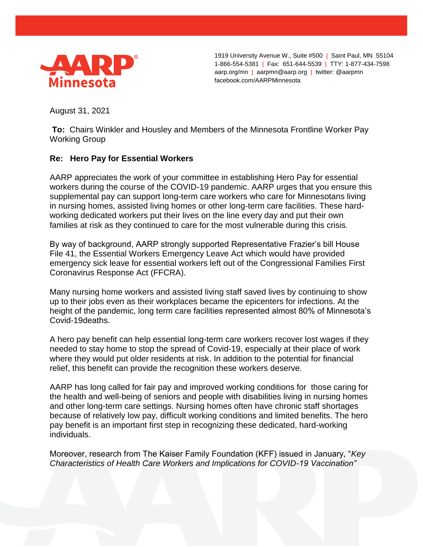

1919 University Avenue W., Suite #500 | Saint Paul, MN 55104 1-866-554-5381 | Fax: 651-644-5539 | TTY: 1-877-434-7598 aarp.org/mn | aarpmn@aarp.org | twitter: @aarpmn facebook.com/AARPMinnesota

August 31, 2021

**To:** Chairs Winkler and Housley and Members of the Minnesota Frontline Worker Pay Working Group

## **Re: Hero Pay for Essential Workers**

AARP appreciates the work of your committee in establishing Hero Pay for essential workers during the course of the COVID-19 pandemic. AARP urges that you ensure this supplemental pay can support long-term care workers who care for Minnesotans living in nursing homes, assisted living homes or other long-term care facilities. These hardworking dedicated workers put their lives on the line every day and put their own families at risk as they continued to care for the most vulnerable during this crisis.

By way of background, AARP strongly supported Representative Frazier's bill House File 41, the Essential Workers Emergency Leave Act which would have provided emergency sick leave for essential workers left out of the Congressional Families First Coronavirus Response Act (FFCRA).

Many nursing home workers and assisted living staff saved lives by continuing to show up to their jobs even as their workplaces became the epicenters for infections. At the height of the pandemic, long term care facilities represented almost 80% of Minnesota's Covid-19deaths.

A hero pay benefit can help essential long-term care workers recover lost wages if they needed to stay home to stop the spread of Covid-19, especially at their place of work where they would put older residents at risk. In addition to the potential for financial relief, this benefit can provide the recognition these workers deserve.

AARP has long called for fair pay and improved working conditions for those caring for the health and well-being of seniors and people with disabilities living in nursing homes and other long-term care settings. Nursing homes often have chronic staff shortages because of relatively low pay, difficult working conditions and limited benefits. The hero pay benefit is an important first step in recognizing these dedicated, hard-working individuals.

Moreover, research from The Kaiser Family Foundation (KFF) issued in January, "*Key Characteristics of Health Care Workers and Implications for COVID-19 Vaccination"*